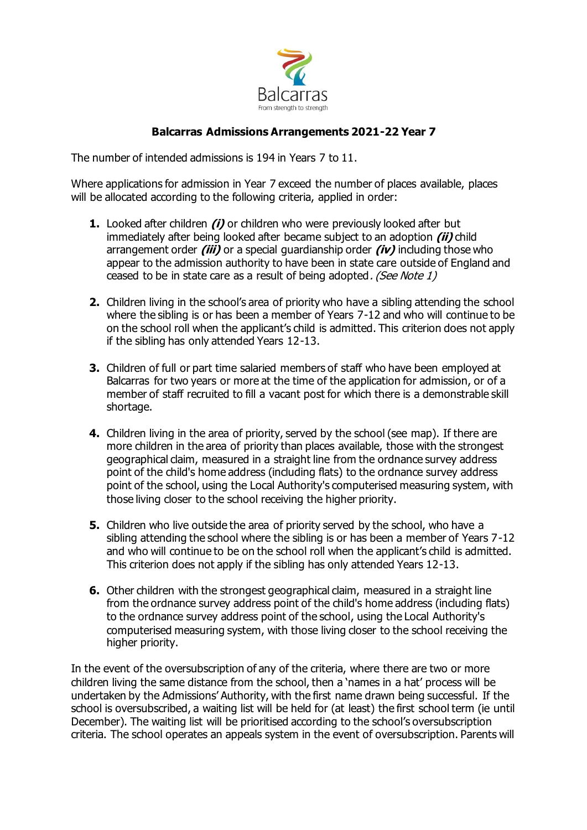

# **Balcarras Admissions Arrangements 2021-22 Year 7**

The number of intended admissions is 194 in Years 7 to 11.

Where applications for admission in Year 7 exceed the number of places available, places will be allocated according to the following criteria, applied in order:

- **1.** Looked after children **(i)** or children who were previously looked after but immediately after being looked after became subject to an adoption **(ii)** child arrangement order **(iii)** or a special guardianship order **(iv)** including those who appear to the admission authority to have been in state care outside of England and ceased to be in state care as a result of being adopted. (See Note 1)
- **2.** Children living in the school's area of priority who have a sibling attending the school where the sibling is or has been a member of Years 7-12 and who will continue to be on the school roll when the applicant's child is admitted. This criterion does not apply if the sibling has only attended Years 12-13.
- **3.** Children of full or part time salaried members of staff who have been employed at Balcarras for two years or more at the time of the application for admission, or of a member of staff recruited to fill a vacant post for which there is a demonstrable skill shortage.
- **4.** Children living in the area of priority, served by the school (see map). If there are more children in the area of priority than places available, those with the strongest geographical claim, measured in a straight line from the ordnance survey address point of the child's home address (including flats) to the ordnance survey address point of the school, using the Local Authority's computerised measuring system, with those living closer to the school receiving the higher priority.
- **5.** Children who live outside the area of priority served by the school, who have a sibling attending the school where the sibling is or has been a member of Years 7-12 and who will continue to be on the school roll when the applicant's child is admitted. This criterion does not apply if the sibling has only attended Years 12-13.
- **6.** Other children with the strongest geographical claim, measured in a straight line from the ordnance survey address point of the child's home address (including flats) to the ordnance survey address point of the school, using the Local Authority's computerised measuring system, with those living closer to the school receiving the higher priority.

In the event of the oversubscription of any of the criteria, where there are two or more children living the same distance from the school, then a 'names in a hat' process will be undertaken by the Admissions' Authority, with the first name drawn being successful. If the school is oversubscribed, a waiting list will be held for (at least) the first school term (ie until December). The waiting list will be prioritised according to the school's oversubscription criteria. The school operates an appeals system in the event of oversubscription. Parents will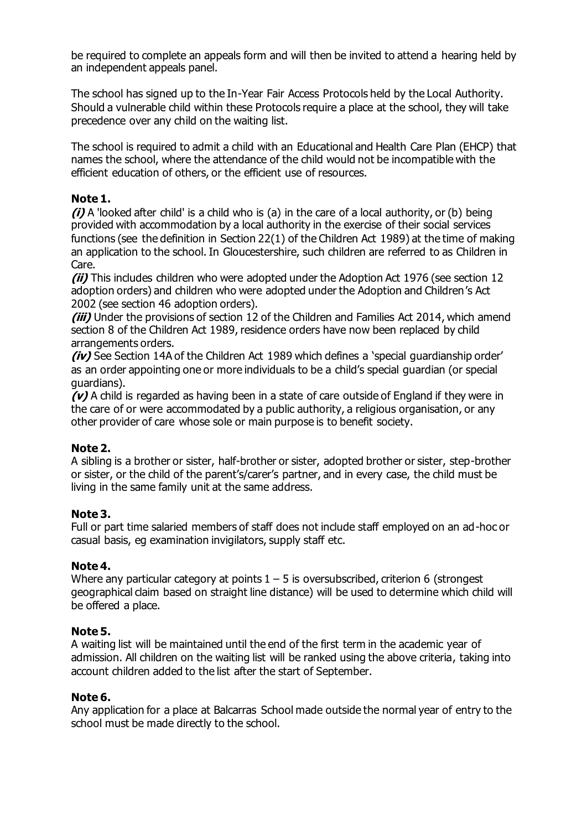be required to complete an appeals form and will then be invited to attend a hearing held by an independent appeals panel.

The school has signed up to the In-Year Fair Access Protocols held by the Local Authority. Should a vulnerable child within these Protocols require a place at the school, they will take precedence over any child on the waiting list.

The school is required to admit a child with an Educational and Health Care Plan (EHCP) that names the school, where the attendance of the child would not be incompatible with the efficient education of others, or the efficient use of resources.

## **Note 1.**

**(i)** A 'looked after child' is a child who is (a) in the care of a local authority, or (b) being provided with accommodation by a local authority in the exercise of their social services functions (see the definition in Section 22(1) of the Children Act 1989) at the time of making an application to the school. In Gloucestershire, such children are referred to as Children in Care.

**(ii)** This includes children who were adopted under the Adoption Act 1976 (see section 12 adoption orders) and children who were adopted under the Adoption and Children's Act 2002 (see section 46 adoption orders).

**(iii)** Under the provisions of section 12 of the Children and Families Act 2014, which amend section 8 of the Children Act 1989, residence orders have now been replaced by child arrangements orders.

**(iv)** See Section 14A of the Children Act 1989 which defines a 'special guardianship order' as an order appointing one or more individuals to be a child's special guardian (or special guardians).

**(v)** A child is regarded as having been in a state of care outside of England if they were in the care of or were accommodated by a public authority, a religious organisation, or any other provider of care whose sole or main purpose is to benefit society.

# **Note 2.**

A sibling is a brother or sister, half-brother or sister, adopted brother or sister, step-brother or sister, or the child of the parent's/carer's partner, and in every case, the child must be living in the same family unit at the same address.

## **Note 3.**

Full or part time salaried members of staff does not include staff employed on an ad-hoc or casual basis, eg examination invigilators, supply staff etc.

## **Note 4.**

Where any particular category at points  $1 - 5$  is oversubscribed, criterion 6 (strongest geographical claim based on straight line distance) will be used to determine which child will be offered a place.

## **Note 5.**

A waiting list will be maintained until the end of the first term in the academic year of admission. All children on the waiting list will be ranked using the above criteria, taking into account children added to the list after the start of September.

## **Note 6.**

Any application for a place at Balcarras School made outside the normal year of entry to the school must be made directly to the school.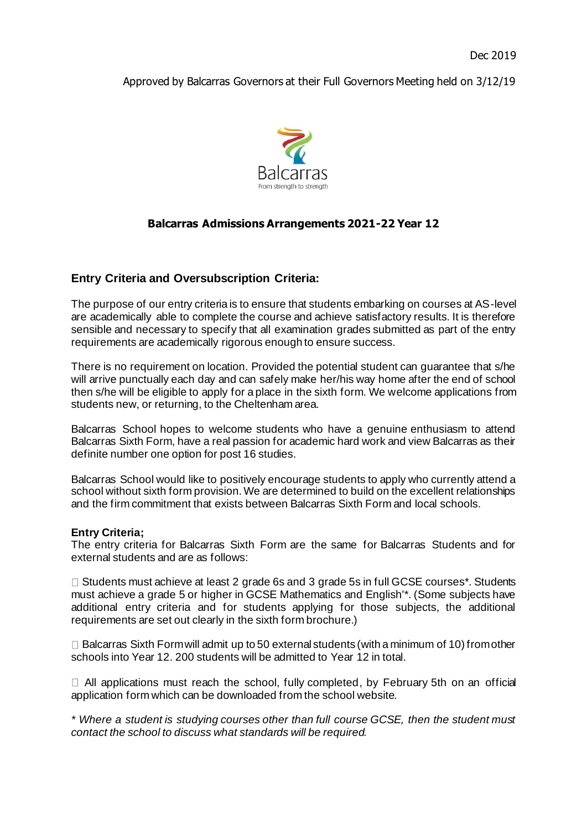Approved by Balcarras Governors at their Full Governors Meeting held on 3/12/19



## **Balcarras Admissions Arrangements 2021-22 Year 12**

### **Entry Criteria and Oversubscription Criteria:**

The purpose of our entry criteria is to ensure that students embarking on courses at AS-level are academically able to complete the course and achieve satisfactory results. It is therefore sensible and necessary to specify that all examination grades submitted as part of the entry requirements are academically rigorous enough to ensure success.

There is no requirement on location. Provided the potential student can guarantee that s/he will arrive punctually each day and can safely make her/his way home after the end of school then s/he will be eligible to apply for a place in the sixth form. We welcome applications from students new, or returning, to the Cheltenham area.

Balcarras School hopes to welcome students who have a genuine enthusiasm to attend Balcarras Sixth Form, have a real passion for academic hard work and view Balcarras as their definite number one option for post 16 studies.

Balcarras School would like to positively encourage students to apply who currently attend a school without sixth form provision. We are determined to build on the excellent relationships and the firm commitment that exists between Balcarras Sixth Form and local schools.

#### **Entry Criteria;**

The entry criteria for Balcarras Sixth Form are the same for Balcarras Students and for external students and are as follows:

 $\Box$  Students must achieve at least 2 grade 6s and 3 grade 5s in full GCSE courses\*. Students must achieve a grade 5 or higher in GCSE Mathematics and English'\*. (Some subjects have additional entry criteria and for students applying for those subjects, the additional requirements are set out clearly in the sixth form brochure.)

 $\Box$  Balcarras Sixth Form will admit up to 50 external students (with a minimum of 10) from other schools into Year 12. 200 students will be admitted to Year 12 in total.

 $\Box$  All applications must reach the school, fully completed, by February 5th on an official application form which can be downloaded from the school website.

*\* Where a student is studying courses other than full course GCSE, then the student must contact the school to discuss what standards will be required.*